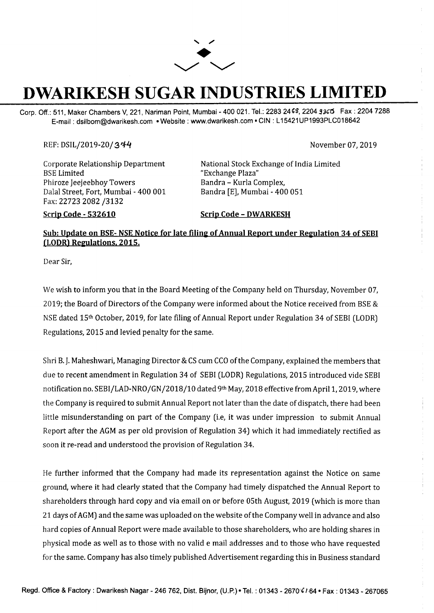

## **DWARIKESH SUGAR INDUSTRIES LIMITED**

Corp. Off.: 511, Maker Chambers V, 221, Nariman Point, Mumbai - 400 021. Tel.: 2283 2468, 2204 9365 Fax: 2204 7288 E-mail : dsilbom@dwarikesh.com •Website: www.dwarikesh.com • CIN : L 15421 UP1993PLC018642

## REF: DSIL/2019-20 / 3 *r;f-4* November 07, 2019

Corporate Relationship Department BSE Limited Phiroze Jeejeebhoy Towers Dalal Street, Fort, Mumbai - 400 001 Fax: 22723 2082 /3132

**Scrip Code - 532610** 

National Stock Exchange of India Limited "Exchange Plaza" Bandra - Kurla Complex, Bandra [E], Mumbai - 400 051

## **Scrip Code - DWARKESH**

## Sub: Update on BSE- NSE Notice for late filing of Annual Report under Regulation 34 of SEBI **(LODR) Regulations, 2015.**

Dear Sir,

We wish to inform you that in the Board Meeting of the Company held on Thursday, November 07, 2019; the Board of Directors of the Company were informed about the Notice received from BSE & NSE dated 15th October, 2019, for late filing of Annual Report under Regulation 34 of SEBI (LODR) Regulations, 2015 and levied penalty for the same.

Shri B. J. Maheshwari, Managing Director & CS cum CCO of the Company, explained the members that due to recent amendment in Regulation 34 of SEBI (LODR) Regulations, 2015 introduced vide SEBI notification no. SEBI/LAD-NRO/GN/2018/10 dated 9th May, 2018 effective from April 1, 2019, where the Company is required to submit Annual Report not later than the date of dispatch, there had been little misunderstanding on part of the Company (i.e, it was under impression to submit Annual Report after the AGM as per old provision of Regulation 34) which it had immediately rectified as soon it re-read and understood the provision of Regulation 34.

He further informed that the Company had made its representation against the Notice on same ground, where it had clearly stated that the Company had timely dispatched the Annual Report to shareholders through hard copy and via email on or before OSth August, 2019 (which is more than 21 days of AGM) and the same was uploaded on the website of the Company well in advance and also hard copies of Annual Report were made available to those shareholders, who are holding shares in physical mode as well as to those with no valid e mail addresses and to those who have requested for the same. Company has also timely published Advertisement regarding this in Business standard